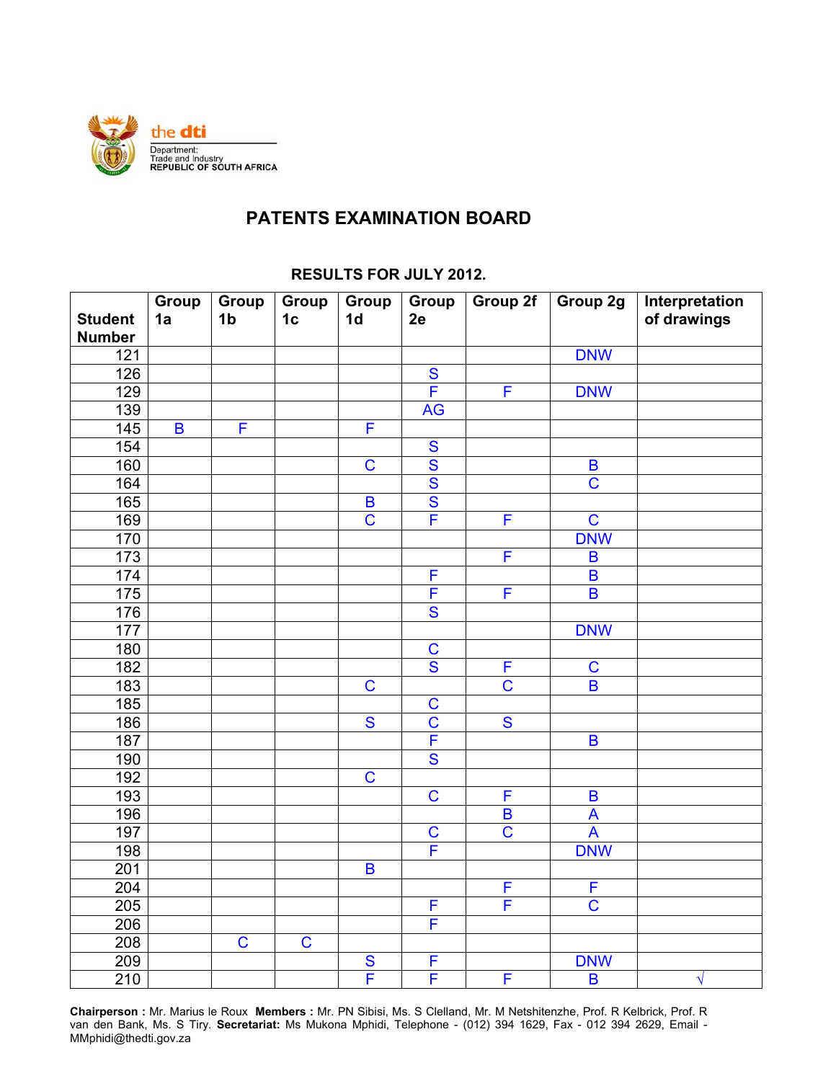

## **PATENTS EXAMINATION BOARD**

| <b>Student</b>   | <b>Group</b><br>1a | Group<br>1 <sub>b</sub> | Group<br>1 <sub>c</sub> | Group<br>1 <sub>d</sub>                       | Group<br>2e                            | Group 2f                | Group 2g                            | Interpretation<br>of drawings |
|------------------|--------------------|-------------------------|-------------------------|-----------------------------------------------|----------------------------------------|-------------------------|-------------------------------------|-------------------------------|
| <b>Number</b>    |                    |                         |                         |                                               |                                        |                         |                                     |                               |
| 121              |                    |                         |                         |                                               |                                        |                         | <b>DNW</b>                          |                               |
| 126              |                    |                         |                         |                                               | $rac{S}{F}$                            |                         |                                     |                               |
| 129              |                    |                         |                         |                                               |                                        | F                       | <b>DNW</b>                          |                               |
| $\overline{139}$ |                    | F                       |                         |                                               | <b>AG</b>                              |                         |                                     |                               |
| 145              | $\pmb{\mathsf{B}}$ |                         |                         | F                                             |                                        |                         |                                     |                               |
| 154              |                    |                         |                         |                                               | $\overline{\mathbf{S}}$                |                         |                                     |                               |
| 160              |                    |                         |                         | $\mathbf C$                                   | $\frac{1}{\text{S}}$                   |                         | $\pmb B$<br>$\overline{\mathbf{C}}$ |                               |
| 164              |                    |                         |                         |                                               | $\overline{\mathbf{S}}$                |                         |                                     |                               |
| 165              |                    |                         |                         | $\pmb{\mathsf{B}}$<br>$\overline{\mathsf{C}}$ | F                                      | F                       | $\overline{C}$                      |                               |
| 169              |                    |                         |                         |                                               |                                        |                         |                                     |                               |
| 170              |                    |                         |                         |                                               |                                        | F                       | <b>DNW</b>                          |                               |
| 173<br>174       |                    |                         |                         |                                               | F                                      |                         | $\overline{B}$<br>$\overline{B}$    |                               |
| $\overline{175}$ |                    |                         |                         |                                               | F                                      | F                       | $\overline{\mathsf{B}}$             |                               |
|                  |                    |                         |                         |                                               | $\overline{\mathbf{S}}$                |                         |                                     |                               |
| 176              |                    |                         |                         |                                               |                                        |                         |                                     |                               |
| 177              |                    |                         |                         |                                               | $\overline{C}$                         |                         | <b>DNW</b>                          |                               |
| 180              |                    |                         |                         |                                               | $\overline{\mathbf{S}}$                | F                       |                                     |                               |
| 182<br>183       |                    |                         |                         | $\mathbf C$                                   |                                        | $\mathsf C$             | $\mathbf C$<br>$\overline{B}$       |                               |
|                  |                    |                         |                         |                                               |                                        |                         |                                     |                               |
| 185<br>186       |                    |                         |                         | $\overline{\mathbf{S}}$                       | $\mathbf C$<br>$\overline{\mathsf{C}}$ | $\overline{\mathbf{S}}$ |                                     |                               |
| 187              |                    |                         |                         |                                               | F                                      |                         | $\overline{\mathsf{B}}$             |                               |
|                  |                    |                         |                         |                                               | S                                      |                         |                                     |                               |
| 190<br>192       |                    |                         |                         | $\mathbf C$                                   |                                        |                         |                                     |                               |
| 193              |                    |                         |                         |                                               | $\mathbf C$                            | F                       | $\pmb{\mathsf{B}}$                  |                               |
| 196              |                    |                         |                         |                                               |                                        | $\overline{\mathbf{B}}$ | $\boldsymbol{\mathsf{A}}$           |                               |
| 197              |                    |                         |                         |                                               | $\mathbf C$                            | $\overline{\text{C}}$   | $\overline{\mathsf{A}}$             |                               |
| 198              |                    |                         |                         |                                               | F                                      |                         | <b>DNW</b>                          |                               |
| $\overline{201}$ |                    |                         |                         | $\overline{B}$                                |                                        |                         |                                     |                               |
| 204              |                    |                         |                         |                                               |                                        | F                       | F                                   |                               |
| 205              |                    |                         |                         |                                               | F                                      | F                       | $\overline{C}$                      |                               |
| 206              |                    |                         |                         |                                               | F                                      |                         |                                     |                               |
| 208              |                    | $\mathbf C$             | $\mathbf C$             |                                               |                                        |                         |                                     |                               |
| 209              |                    |                         |                         |                                               | F                                      |                         | <b>DNW</b>                          |                               |
| 210              |                    |                         |                         | $\frac{S}{F}$                                 | F                                      | F                       | $\overline{B}$                      |                               |
|                  |                    |                         |                         |                                               |                                        |                         |                                     | $\sqrt{}$                     |

## **RESULTS FOR JULY 2012.**

**Chairperson :** Mr. Marius le Roux **Members :** Mr. PN Sibisi, Ms. S Clelland, Mr. M Netshitenzhe, Prof. R Kelbrick, Prof. R van den Bank, Ms. S Tiry. **Secretariat:** Ms Mukona Mphidi, Telephone - (012) 394 1629, Fax - 012 394 2629, Email - MMphidi@thedti.gov.za